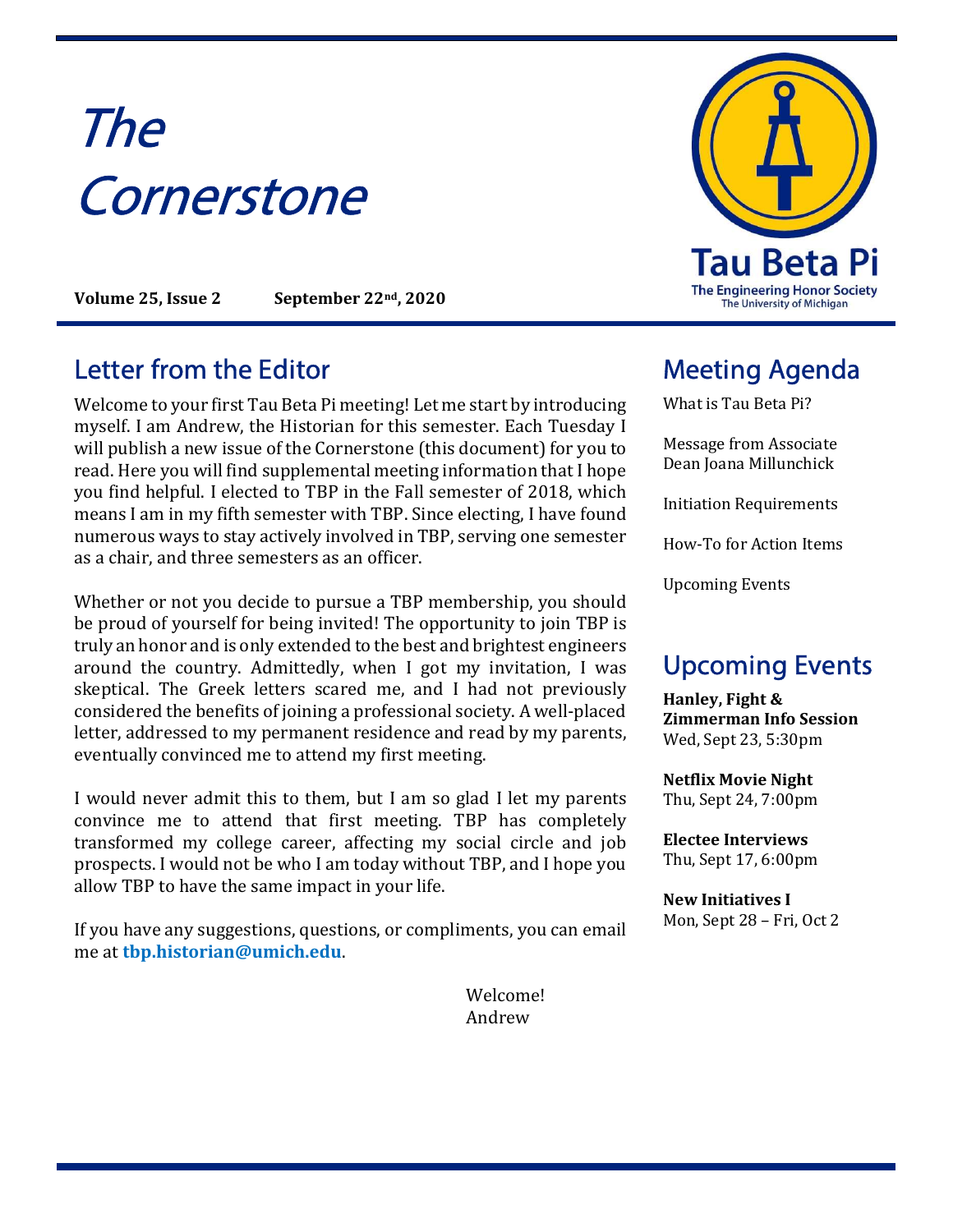# The **Cornerstone**

Volume 25, Issue 2 September 22<sup>nd</sup>, 2020

#### Letter from the Editor **Meeting Agenda**

Welcome to your first Tau Beta Pi meeting! Let me start by introducing myself. I am Andrew, the Historian for this semester. Each Tuesday I will publish a new issue of the Cornerstone (this document) for you to read. Here you will find supplemental meeting information that I hope you find helpful. I elected to TBP in the Fall semester of 2018, which means I am in my fifth semester with TBP. Since electing, I have found numerous ways to stay actively involved in TBP, serving one semester as a chair, and three semesters as an officer.

Whether or not you decide to pursue a TBP membership, you should be proud of yourself for being invited! The opportunity to join TBP is truly an honor and is only extended to the best and brightest engineers around the country. Admittedly, when I got my invitation, I was skeptical. The Greek letters scared me, and I had not previously considered the benefits of joining a professional society. A well-placed letter, addressed to my permanent residence and read by my parents, eventually convinced me to attend my first meeting.

I would never admit this to them, but I am so glad I let my parents convince me to attend that first meeting. TBP has completely transformed my college career, affecting my social circle and job prospects. I would not be who I am today without TBP, and I hope you allow TBP to have the same impact in your life.

If you have any suggestions, questions, or compliments, you can email me at tbp.historian@umich.edu.

> Welcome! Andrew



What is Tau Beta Pi?

Message from Associate Dean Joana Millunchick

Initiation Requirements

How-To for Action Items

Upcoming Events

### Upcoming Events

Hanley, Fight & Zimmerman Info Session Wed, Sept 23, 5:30pm

Netflix Movie Night Thu, Sept 24, 7:00pm

Electee Interviews Thu, Sept 17, 6:00pm

New Initiatives I Mon, Sept 28 – Fri, Oct 2